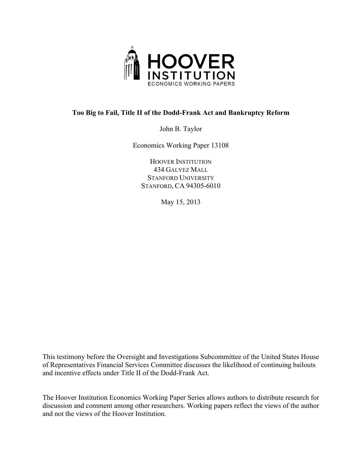

# **Too Big to Fail, Title II of the Dodd-Frank Act and Bankruptcy Reform**

John B. Taylor

Economics Working Paper 13108

HOOVER INSTITUTION 434 GALVEZ MALL STANFORD UNIVERSITY STANFORD, CA 94305-6010

May 15, 2013

This testimony before the Oversight and Investigations Subcommittee of the United States House of Representatives Financial Services Committee discusses the likelihood of continuing bailouts and incentive effects under Title II of the Dodd-Frank Act.

The Hoover Institution Economics Working Paper Series allows authors to distribute research for discussion and comment among other researchers. Working papers reflect the views of the author and not the views of the Hoover Institution.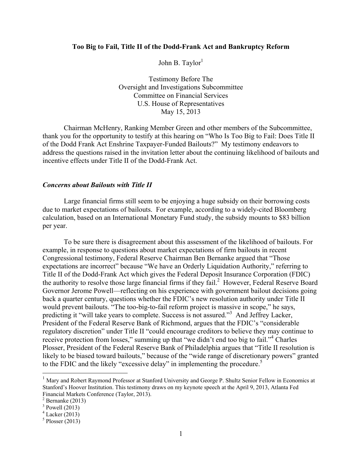### **Too Big to Fail, Title II of the Dodd-Frank Act and Bankruptcy Reform**

John B. Taylor $<sup>1</sup>$ </sup>

Testimony Before The Oversight and Investigations Subcommittee Committee on Financial Services U.S. House of Representatives May 15, 2013

Chairman McHenry, Ranking Member Green and other members of the Subcommittee, thank you for the opportunity to testify at this hearing on "Who Is Too Big to Fail: Does Title II of the Dodd Frank Act Enshrine Taxpayer-Funded Bailouts?" My testimony endeavors to address the questions raised in the invitation letter about the continuing likelihood of bailouts and incentive effects under Title II of the Dodd-Frank Act.

#### *Concerns about Bailouts with Title II*

Large financial firms still seem to be enjoying a huge subsidy on their borrowing costs due to market expectations of bailouts. For example, according to a widely-cited Bloomberg calculation, based on an International Monetary Fund study, the subsidy mounts to \$83 billion per year.

To be sure there is disagreement about this assessment of the likelihood of bailouts. For example, in response to questions about market expectations of firm bailouts in recent Congressional testimony, Federal Reserve Chairman Ben Bernanke argued that "Those expectations are incorrect" because "We have an Orderly Liquidation Authority," referring to Title II of the Dodd-Frank Act which gives the Federal Deposit Insurance Corporation (FDIC) the authority to resolve those large financial firms if they fail.<sup>2</sup> However, Federal Reserve Board Governor Jerome Powell—reflecting on his experience with government bailout decisions going back a quarter century, questions whether the FDIC's new resolution authority under Title II would prevent bailouts. "The too-big-to-fail reform project is massive in scope," he says, predicting it "will take years to complete. Success is not assured."<sup>3</sup> And Jeffrey Lacker, President of the Federal Reserve Bank of Richmond, argues that the FDIC's "considerable regulatory discretion" under Title II "could encourage creditors to believe they may continue to receive protection from losses," summing up that "we didn't end too big to fail."<sup>4</sup> Charles Plosser, President of the Federal Reserve Bank of Philadelphia argues that "Title II resolution is likely to be biased toward bailouts," because of the "wide range of discretionary powers" granted to the FDIC and the likely "excessive delay" in implementing the procedure.<sup>5</sup>

<sup>&</sup>lt;sup>1</sup> Mary and Robert Raymond Professor at Stanford University and George P. Shultz Senior Fellow in Economics at Stanford's Hoover Institution. This testimony draws on my keynote speech at the April 9, 2013, Atlanta Fed Financial Markets Conference (Taylor, 2013). 2

 $2$  Bernanke (2013)

 $3$  Powell (2013)

<sup>4</sup> Lacker (2013)

 $<sup>5</sup>$  Plosser (2013)</sup>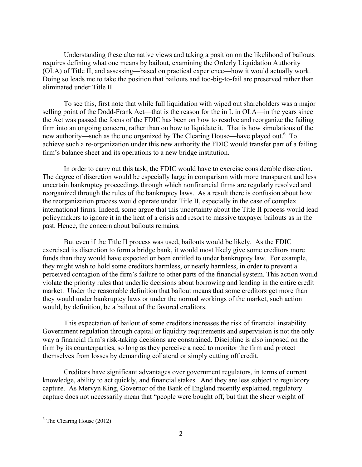Understanding these alternative views and taking a position on the likelihood of bailouts requires defining what one means by bailout, examining the Orderly Liquidation Authority (OLA) of Title II, and assessing—based on practical experience—how it would actually work. Doing so leads me to take the position that bailouts and too-big-to-fail are preserved rather than eliminated under Title II.

To see this, first note that while full liquidation with wiped out shareholders was a major selling point of the Dodd-Frank Act—that is the reason for the in L in OLA—in the years since the Act was passed the focus of the FDIC has been on how to resolve and reorganize the failing firm into an ongoing concern, rather than on how to liquidate it. That is how simulations of the new authority—such as the one organized by The Clearing House—have played out.<sup>6</sup> To achieve such a re-organization under this new authority the FDIC would transfer part of a failing firm's balance sheet and its operations to a new bridge institution.

In order to carry out this task, the FDIC would have to exercise considerable discretion. The degree of discretion would be especially large in comparison with more transparent and less uncertain bankruptcy proceedings through which nonfinancial firms are regularly resolved and reorganized through the rules of the bankruptcy laws. As a result there is confusion about how the reorganization process would operate under Title II, especially in the case of complex international firms. Indeed, some argue that this uncertainty about the Title II process would lead policymakers to ignore it in the heat of a crisis and resort to massive taxpayer bailouts as in the past. Hence, the concern about bailouts remains.

But even if the Title II process was used, bailouts would be likely. As the FDIC exercised its discretion to form a bridge bank, it would most likely give some creditors more funds than they would have expected or been entitled to under bankruptcy law. For example, they might wish to hold some creditors harmless, or nearly harmless, in order to prevent a perceived contagion of the firm's failure to other parts of the financial system. This action would violate the priority rules that underlie decisions about borrowing and lending in the entire credit market. Under the reasonable definition that bailout means that some creditors get more than they would under bankruptcy laws or under the normal workings of the market, such action would, by definition, be a bailout of the favored creditors.

This expectation of bailout of some creditors increases the risk of financial instability. Government regulation through capital or liquidity requirements and supervision is not the only way a financial firm's risk-taking decisions are constrained. Discipline is also imposed on the firm by its counterparties, so long as they perceive a need to monitor the firm and protect themselves from losses by demanding collateral or simply cutting off credit.

Creditors have significant advantages over government regulators, in terms of current knowledge, ability to act quickly, and financial stakes. And they are less subject to regulatory capture. As Mervyn King, Governor of the Bank of England recently explained, regulatory capture does not necessarily mean that "people were bought off, but that the sheer weight of

 $6$  The Clearing House (2012)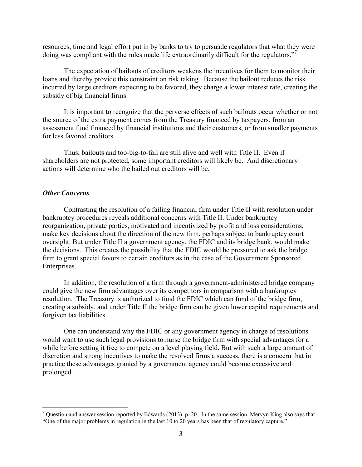resources, time and legal effort put in by banks to try to persuade regulators that what they were doing was compliant with the rules made life extraordinarily difficult for the regulators."

The expectation of bailouts of creditors weakens the incentives for them to monitor their loans and thereby provide this constraint on risk taking. Because the bailout reduces the risk incurred by large creditors expecting to be favored, they charge a lower interest rate, creating the subsidy of big financial firms.

It is important to recognize that the perverse effects of such bailouts occur whether or not the source of the extra payment comes from the Treasury financed by taxpayers, from an assessment fund financed by financial institutions and their customers, or from smaller payments for less favored creditors.

Thus, bailouts and too-big-to-fail are still alive and well with Title II. Even if shareholders are not protected, some important creditors will likely be. And discretionary actions will determine who the bailed out creditors will be.

### *Other Concerns*

 $\overline{a}$ 

Contrasting the resolution of a failing financial firm under Title II with resolution under bankruptcy procedures reveals additional concerns with Title II. Under bankruptcy reorganization, private parties, motivated and incentivized by profit and loss considerations, make key decisions about the direction of the new firm, perhaps subject to bankruptcy court oversight. But under Title II a government agency, the FDIC and its bridge bank, would make the decisions. This creates the possibility that the FDIC would be pressured to ask the bridge firm to grant special favors to certain creditors as in the case of the Government Sponsored Enterprises.

In addition, the resolution of a firm through a government-administered bridge company could give the new firm advantages over its competitors in comparison with a bankruptcy resolution. The Treasury is authorized to fund the FDIC which can fund of the bridge firm, creating a subsidy, and under Title II the bridge firm can be given lower capital requirements and forgiven tax liabilities.

One can understand why the FDIC or any government agency in charge of resolutions would want to use such legal provisions to nurse the bridge firm with special advantages for a while before setting it free to compete on a level playing field. But with such a large amount of discretion and strong incentives to make the resolved firms a success, there is a concern that in practice these advantages granted by a government agency could become excessive and prolonged.

 $^7$  Question and answer session reported by Edwards (2013), p. 20. In the same session, Mervyn King also says that "One of the major problems in regulation in the last 10 to 20 years has been that of regulatory capture."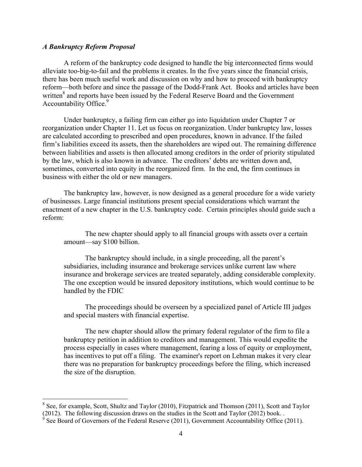## *A Bankruptcy Reform Proposal*

 $\overline{a}$ 

A reform of the bankruptcy code designed to handle the big interconnected firms would alleviate too-big-to-fail and the problems it creates. In the five years since the financial crisis, there has been much useful work and discussion on why and how to proceed with bankruptcy reform—both before and since the passage of the Dodd-Frank Act. Books and articles have been written<sup>8</sup> and reports have been issued by the Federal Reserve Board and the Government Accountability Office.<sup>9</sup>

Under bankruptcy, a failing firm can either go into liquidation under Chapter 7 or reorganization under Chapter 11. Let us focus on reorganization. Under bankruptcy law, losses are calculated according to prescribed and open procedures, known in advance. If the failed firm's liabilities exceed its assets, then the shareholders are wiped out. The remaining difference between liabilities and assets is then allocated among creditors in the order of priority stipulated by the law, which is also known in advance. The creditors' debts are written down and, sometimes, converted into equity in the reorganized firm. In the end, the firm continues in business with either the old or new managers.

The bankruptcy law, however, is now designed as a general procedure for a wide variety of businesses. Large financial institutions present special considerations which warrant the enactment of a new chapter in the U.S. bankruptcy code. Certain principles should guide such a reform:

The new chapter should apply to all financial groups with assets over a certain amount—say \$100 billion.

The bankruptcy should include, in a single proceeding, all the parent's subsidiaries, including insurance and brokerage services unlike current law where insurance and brokerage services are treated separately, adding considerable complexity. The one exception would be insured depository institutions, which would continue to be handled by the FDIC

The proceedings should be overseen by a specialized panel of Article III judges and special masters with financial expertise.

The new chapter should allow the primary federal regulator of the firm to file a bankruptcy petition in addition to creditors and management. This would expedite the process especially in cases where management, fearing a loss of equity or employment, has incentives to put off a filing. The examiner's report on Lehman makes it very clear there was no preparation for bankruptcy proceedings before the filing, which increased the size of the disruption.

<sup>&</sup>lt;sup>8</sup> See, for example, Scott, Shultz and Taylor (2010), Fitzpatrick and Thomson (2011), Scott and Taylor (2012). The following discussion draws on the studies in the Scott and Taylor (2012) book. .  $\frac{9}{2}$  See Board of Governors of the Eederal Because (2011). Government Assounts bility Office (

See Board of Governors of the Federal Reserve (2011), Government Accountability Office (2011).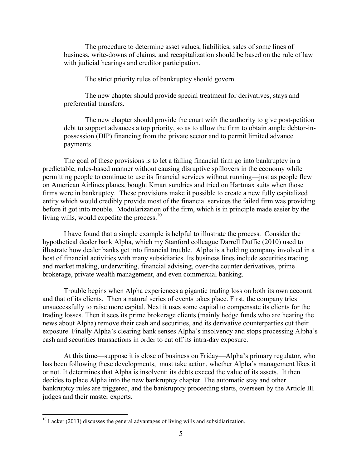The procedure to determine asset values, liabilities, sales of some lines of business, write-downs of claims, and recapitalization should be based on the rule of law with judicial hearings and creditor participation.

The strict priority rules of bankruptcy should govern.

The new chapter should provide special treatment for derivatives, stays and preferential transfers.

The new chapter should provide the court with the authority to give post-petition debt to support advances a top priority, so as to allow the firm to obtain ample debtor-inpossession (DIP) financing from the private sector and to permit limited advance payments.

The goal of these provisions is to let a failing financial firm go into bankruptcy in a predictable, rules-based manner without causing disruptive spillovers in the economy while permitting people to continue to use its financial services without running—just as people flew on American Airlines planes, bought Kmart sundries and tried on Hartmax suits when those firms were in bankruptcy. These provisions make it possible to create a new fully capitalized entity which would credibly provide most of the financial services the failed firm was providing before it got into trouble. Modularization of the firm, which is in principle made easier by the living wills, would expedite the process.<sup>10</sup>

I have found that a simple example is helpful to illustrate the process. Consider the hypothetical dealer bank Alpha, which my Stanford colleague Darrell Duffie (2010) used to illustrate how dealer banks get into financial trouble. Alpha is a holding company involved in a host of financial activities with many subsidiaries. Its business lines include securities trading and market making, underwriting, financial advising, over-the counter derivatives, prime brokerage, private wealth management, and even commercial banking.

Trouble begins when Alpha experiences a gigantic trading loss on both its own account and that of its clients. Then a natural series of events takes place. First, the company tries unsuccessfully to raise more capital. Next it uses some capital to compensate its clients for the trading losses. Then it sees its prime brokerage clients (mainly hedge funds who are hearing the news about Alpha) remove their cash and securities, and its derivative counterparties cut their exposure. Finally Alpha's clearing bank senses Alpha's insolvency and stops processing Alpha's cash and securities transactions in order to cut off its intra-day exposure.

At this time—suppose it is close of business on Friday—Alpha's primary regulator, who has been following these developments, must take action, whether Alpha's management likes it or not. It determines that Alpha is insolvent: its debts exceed the value of its assets. It then decides to place Alpha into the new bankruptcy chapter. The automatic stay and other bankruptcy rules are triggered, and the bankruptcy proceeding starts, overseen by the Article III judges and their master experts.

 $10$  Lacker (2013) discusses the general advantages of living wills and subsidiarization.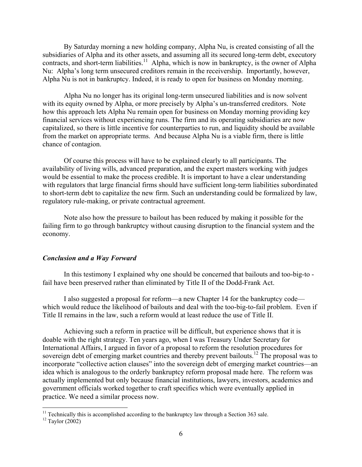By Saturday morning a new holding company, Alpha Nu, is created consisting of all the subsidiaries of Alpha and its other assets, and assuming all its secured long-term debt, executory contracts, and short-term liabilities.<sup>11</sup> Alpha, which is now in bankruptcy, is the owner of Alpha Nu: Alpha's long term unsecured creditors remain in the receivership. Importantly, however, Alpha Nu is not in bankruptcy. Indeed, it is ready to open for business on Monday morning.

Alpha Nu no longer has its original long-term unsecured liabilities and is now solvent with its equity owned by Alpha, or more precisely by Alpha's un-transferred creditors. Note how this approach lets Alpha Nu remain open for business on Monday morning providing key financial services without experiencing runs. The firm and its operating subsidiaries are now capitalized, so there is little incentive for counterparties to run, and liquidity should be available from the market on appropriate terms. And because Alpha Nu is a viable firm, there is little chance of contagion.

Of course this process will have to be explained clearly to all participants. The availability of living wills, advanced preparation, and the expert masters working with judges would be essential to make the process credible. It is important to have a clear understanding with regulators that large financial firms should have sufficient long-term liabilities subordinated to short-term debt to capitalize the new firm. Such an understanding could be formalized by law, regulatory rule-making, or private contractual agreement.

Note also how the pressure to bailout has been reduced by making it possible for the failing firm to go through bankruptcy without causing disruption to the financial system and the economy.

### *Conclusion and a Way Forward*

In this testimony I explained why one should be concerned that bailouts and too-big-to fail have been preserved rather than eliminated by Title II of the Dodd-Frank Act.

I also suggested a proposal for reform—a new Chapter 14 for the bankruptcy code which would reduce the likelihood of bailouts and deal with the too-big-to-fail problem. Even if Title II remains in the law, such a reform would at least reduce the use of Title II.

Achieving such a reform in practice will be difficult, but experience shows that it is doable with the right strategy. Ten years ago, when I was Treasury Under Secretary for International Affairs, I argued in favor of a proposal to reform the resolution procedures for sovereign debt of emerging market countries and thereby prevent bailouts.<sup>12</sup> The proposal was to incorporate "collective action clauses" into the sovereign debt of emerging market countries—an idea which is analogous to the orderly bankruptcy reform proposal made here. The reform was actually implemented but only because financial institutions, lawyers, investors, academics and government officials worked together to craft specifics which were eventually applied in practice. We need a similar process now.

<sup>&</sup>lt;sup>11</sup> Technically this is accomplished according to the bankruptcy law through a Section 363 sale. <sup>12</sup> Taylor (2002)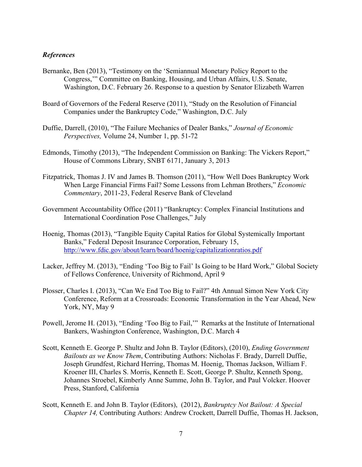## *References*

- Bernanke, Ben (2013), "Testimony on the 'Semiannual Monetary Policy Report to the Congress,'" Committee on Banking, Housing, and Urban Affairs, U.S. Senate, Washington, D.C. February 26. Response to a question by Senator Elizabeth Warren
- Board of Governors of the Federal Reserve (2011), "Study on the Resolution of Financial Companies under the Bankruptcy Code," Washington, D.C. July
- Duffie, Darrell, (2010), "The Failure Mechanics of Dealer Banks," *Journal of Economic Perspectives,* Volume 24, Number 1, pp. 51-72
- Edmonds, Timothy (2013), "The Independent Commission on Banking: The Vickers Report," House of Commons Library, SNBT 6171, January 3, 2013
- Fitzpatrick, Thomas J. IV and James B. Thomson (2011), "How Well Does Bankruptcy Work When Large Financial Firms Fail? Some Lessons from Lehman Brothers," *Economic Commentary*, 2011-23, Federal Reserve Bank of Cleveland
- Government Accountability Office (2011) "Bankruptcy: Complex Financial Institutions and International Coordination Pose Challenges," July
- Hoenig, Thomas (2013), "Tangible Equity Capital Ratios for Global Systemically Important Banks," Federal Deposit Insurance Corporation, February 15, http://www.fdic.gov/about/learn/board/hoenig/capitalizationratios.pdf
- Lacker, Jeffrey M. (2013), "Ending 'Too Big to Fail' Is Going to be Hard Work," Global Society of Fellows Conference, University of Richmond, April 9
- Plosser, Charles I. (2013), "Can We End Too Big to Fail?" 4th Annual Simon New York City Conference, Reform at a Crossroads: Economic Transformation in the Year Ahead, New York, NY, May 9
- Powell, Jerome H. (2013), "Ending 'Too Big to Fail,'" Remarks at the Institute of International Bankers, Washington Conference, Washington, D.C. March 4
- Scott, Kenneth E. George P. Shultz and John B. Taylor (Editors), (2010), *Ending Government Bailouts as we Know Them*, Contributing Authors: Nicholas F. Brady, Darrell Duffie, Joseph Grundfest, Richard Herring, Thomas M. Hoenig, Thomas Jackson, William F. Kroener III, Charles S. Morris, Kenneth E. Scott, George P. Shultz, Kenneth Spong, Johannes Stroebel, Kimberly Anne Summe, John B. Taylor, and Paul Volcker. Hoover Press, Stanford, California
- Scott, Kenneth E. and John B. Taylor (Editors), (2012), *Bankruptcy Not Bailout: A Special Chapter 14,* Contributing Authors: Andrew Crockett, Darrell Duffie, Thomas H. Jackson,